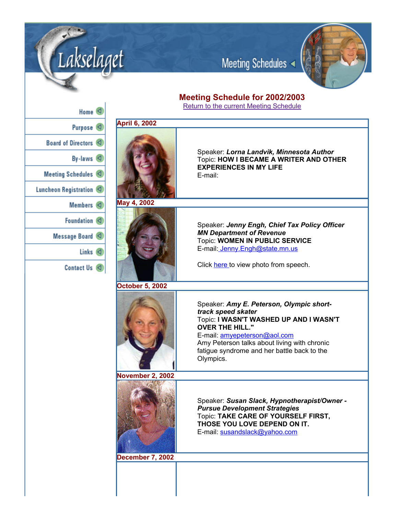

Meeting Schedules

## **Meeting Schedule for 2002/2003** Return to the current Meeting Schedule

Home  $\triangleleft$ Purpose<sup>(</sup> Board of Directors  $By-laws \leq$ Meeting Schedules < Luncheon Registration Members < Foundation < Message Board Links  $\lhd$ Contact Us <

Lakselaget

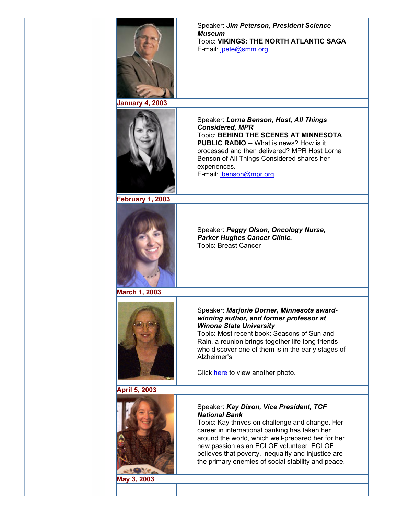

Speaker: *Jim Peterson, President Science Museum* Topic: **VIKINGS: THE NORTH ATLANTIC SAGA** E-mail: jpete@smm.org

**January 4, 2003**



Speaker: *Lorna Benson, Host, All Things Considered, MPR* Topic: **BEHIND THE SCENES AT MINNESOTA PUBLIC RADIO** -- What is news? How is it processed and then delivered? MPR Host Lorna Benson of All Things Considered shares her experiences. E-mail: **benson@mpr.org** 

**February 1, 2003**



**March 1, 2003**



Speaker: *Marjorie Dorner, Minnesota awardwinning author, and former professor at Winona State University*

Speaker: *Peggy Olson, Oncology Nurse,*

*Parker Hughes Cancer Clinic.*

Topic: Breast Cancer

Topic: Most recent book: Seasons of Sun and Rain, a reunion brings together life-long friends who discover one of them is in the early stages of Alzheimer's.

Click here to view another photo.

**April 5, 2003**



## Speaker: *Kay Dixon, Vice President, TCF National Bank*

Topic: Kay thrives on challenge and change. Her career in international banking has taken her around the world, which well-prepared her for her new passion as an ECLOF volunteer. ECLOF believes that poverty, inequality and injustice are the primary enemies of social stability and peace.